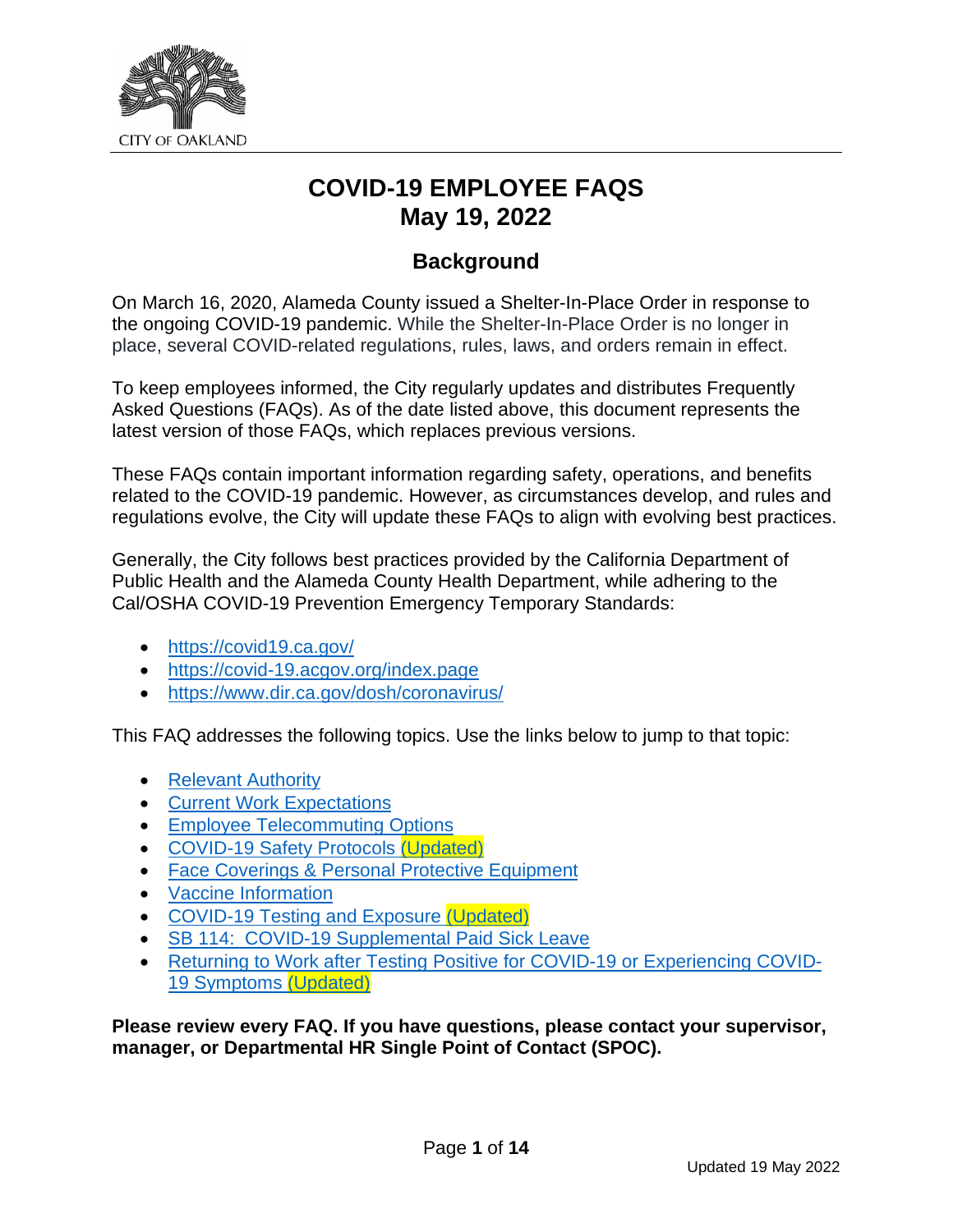

## **COVID-19 EMPLOYEE FAQS May 19, 2022**

## **Background**

On March 16, 2020, Alameda County issued a Shelter-In-Place Order in response to the ongoing COVID-19 pandemic. While the Shelter-In-Place Order is no longer in place, several COVID-related regulations, rules, laws, and orders remain in effect.

To keep employees informed, the City regularly updates and distributes Frequently Asked Questions (FAQs). As of the date listed above, this document represents the latest version of those FAQs, which replaces previous versions.

These FAQs contain important information regarding safety, operations, and benefits related to the COVID-19 pandemic. However, as circumstances develop, and rules and regulations evolve, the City will update these FAQs to align with evolving best practices.

Generally, the City follows best practices provided by the California Department of Public Health and the Alameda County Health Department, while adhering to the Cal/OSHA COVID-19 Prevention Emergency Temporary Standards:

- <https://covid19.ca.gov/>
- <https://covid-19.acgov.org/index.page>
- <https://www.dir.ca.gov/dosh/coronavirus/>

This FAQ addresses the following topics. Use the links below to jump to that topic:

- [Relevant Authority](#page-0-0)
- [Current Work Expectations](#page-1-0)
- [Employee Telecommuting Options](#page-2-0)
- [COVID-19 Safety Protocols](#page-3-0) (Updated)
- [Face Coverings & Personal Protective Equipment](#page-4-0)
- [Vaccine Information](#page-5-0)
- [COVID-19 Testing and Exposure](#page-6-0) (Updated)
- [SB 114: COVID-19 Supplemental Paid Sick Leave](#page-10-0)
- <span id="page-0-0"></span>• [Returning to Work after Testing Positive for COVID-19 or Experiencing COVID-](#page-12-0)[19 Symptoms](#page-12-0) (Updated)

**Please review every FAQ. If you have questions, please contact your supervisor, manager, or Departmental HR Single Point of Contact (SPOC).**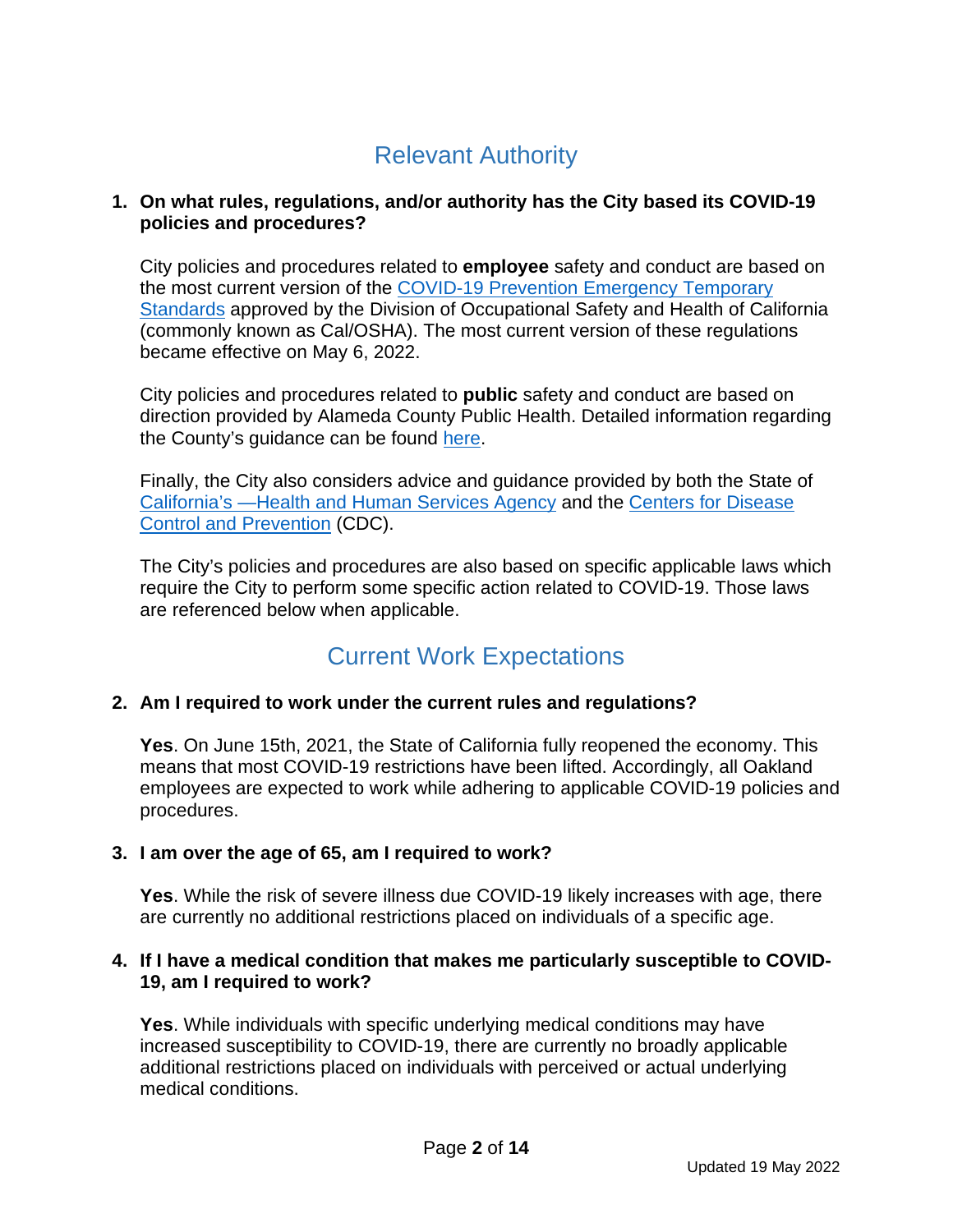# Relevant Authority

#### **1. On what rules, regulations, and/or authority has the City based its COVID-19 policies and procedures?**

City policies and procedures related to **employee** safety and conduct are based on the most current version of the [COVID-19 Prevention Emergency Temporary](https://www.dir.ca.gov/dosh/coronavirus/ETS.html)  [Standards](https://www.dir.ca.gov/dosh/coronavirus/ETS.html) approved by the Division of Occupational Safety and Health of California (commonly known as Cal/OSHA). The most current version of these regulations became effective on May 6, 2022.

City policies and procedures related to **public** safety and conduct are based on direction provided by Alameda County Public Health. Detailed information regarding the County's guidance can be found [here.](https://covid-19.acgov.org/index.page)

Finally, the City also considers advice and guidance provided by both the State of [California's —Health and Human Services Agency](https://www.cdph.ca.gov/Programs/CID/DCDC/Pages/Immunization/nCoV2019.aspx) and the [Centers for Disease](https://www.cdc.gov/coronavirus/2019-ncov/index.html)  [Control and Prevention](https://www.cdc.gov/coronavirus/2019-ncov/index.html) (CDC).

The City's policies and procedures are also based on specific applicable laws which require the City to perform some specific action related to COVID-19. Those laws are referenced below when applicable.

# Current Work Expectations

## <span id="page-1-0"></span>**2. Am I required to work under the current rules and regulations?**

**Yes**. On June 15th, 2021, the State of California fully reopened the economy. This means that most COVID-19 restrictions have been lifted. Accordingly, all Oakland employees are expected to work while adhering to applicable COVID-19 policies and procedures.

## **3. I am over the age of 65, am I required to work?**

**Yes**. While the risk of severe illness due COVID-19 likely increases with age, there are currently no additional restrictions placed on individuals of a specific age.

#### **4. If I have a medical condition that makes me particularly susceptible to COVID-19, am I required to work?**

**Yes**. While individuals with specific underlying medical conditions may have increased susceptibility to COVID-19, there are currently no broadly applicable additional restrictions placed on individuals with perceived or actual underlying medical conditions.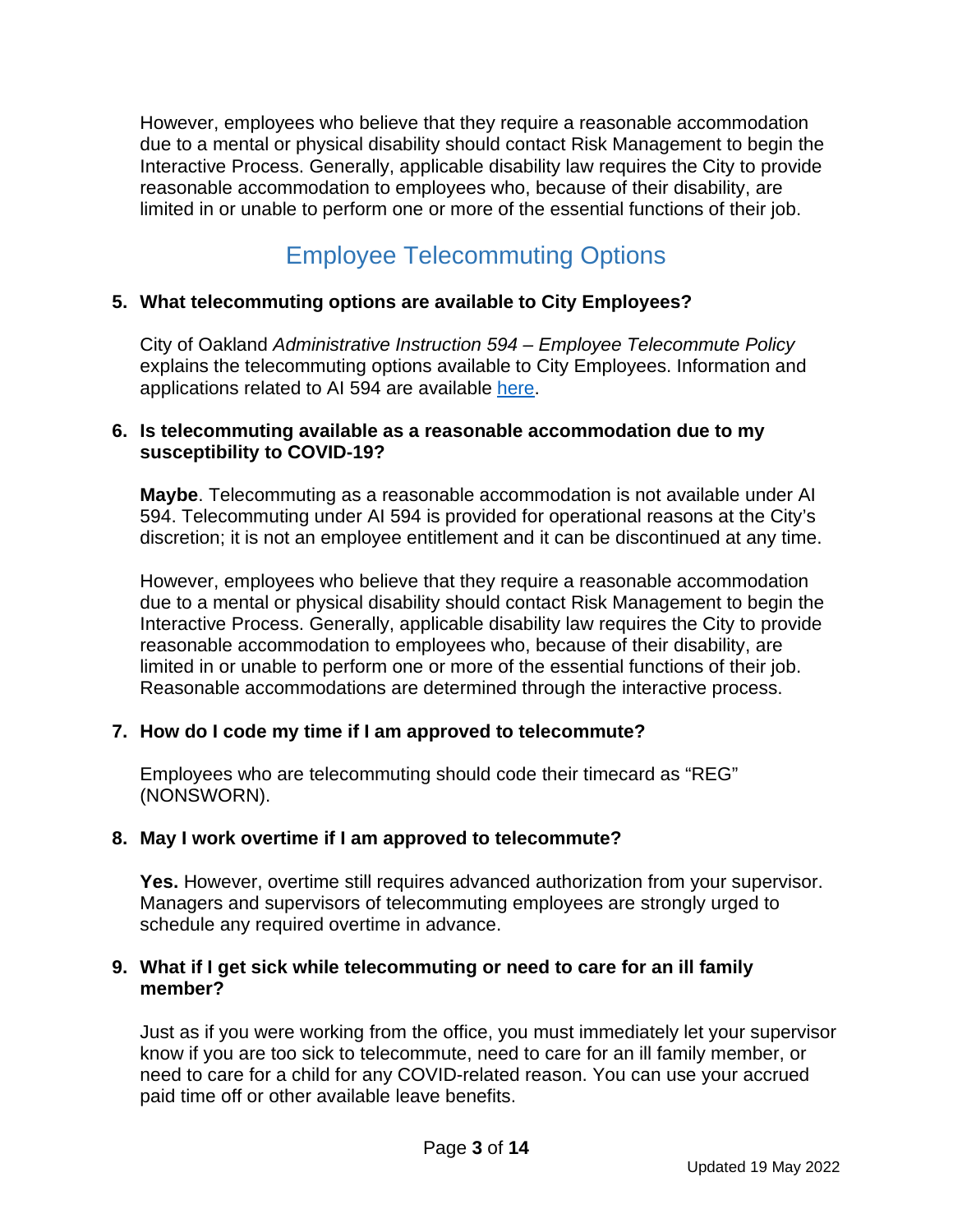However, employees who believe that they require a reasonable accommodation due to a mental or physical disability should contact Risk Management to begin the Interactive Process. Generally, applicable disability law requires the City to provide reasonable accommodation to employees who, because of their disability, are limited in or unable to perform one or more of the essential functions of their job.

# Employee Telecommuting Options

### <span id="page-2-0"></span>**5. What telecommuting options are available to City Employees?**

City of Oakland *Administrative Instruction 594 – Employee Telecommute Policy* explains the telecommuting options available to City Employees. Information and applications related to AI 594 are available [here.](https://www.oaklandca.gov/services/apply-for-the-employee-telecommute-program)

#### **6. Is telecommuting available as a reasonable accommodation due to my susceptibility to COVID-19?**

**Maybe**. Telecommuting as a reasonable accommodation is not available under AI 594. Telecommuting under AI 594 is provided for operational reasons at the City's discretion; it is not an employee entitlement and it can be discontinued at any time.

However, employees who believe that they require a reasonable accommodation due to a mental or physical disability should contact Risk Management to begin the Interactive Process. Generally, applicable disability law requires the City to provide reasonable accommodation to employees who, because of their disability, are limited in or unable to perform one or more of the essential functions of their job. Reasonable accommodations are determined through the interactive process.

#### **7. How do I code my time if I am approved to telecommute?**

Employees who are telecommuting should code their timecard as "REG" (NONSWORN).

#### **8. May I work overtime if I am approved to telecommute?**

**Yes.** However, overtime still requires advanced authorization from your supervisor. Managers and supervisors of telecommuting employees are strongly urged to schedule any required overtime in advance.

#### **9. What if I get sick while telecommuting or need to care for an ill family member?**

Just as if you were working from the office, you must immediately let your supervisor know if you are too sick to telecommute, need to care for an ill family member, or need to care for a child for any COVID-related reason. You can use your accrued paid time off or other available leave benefits.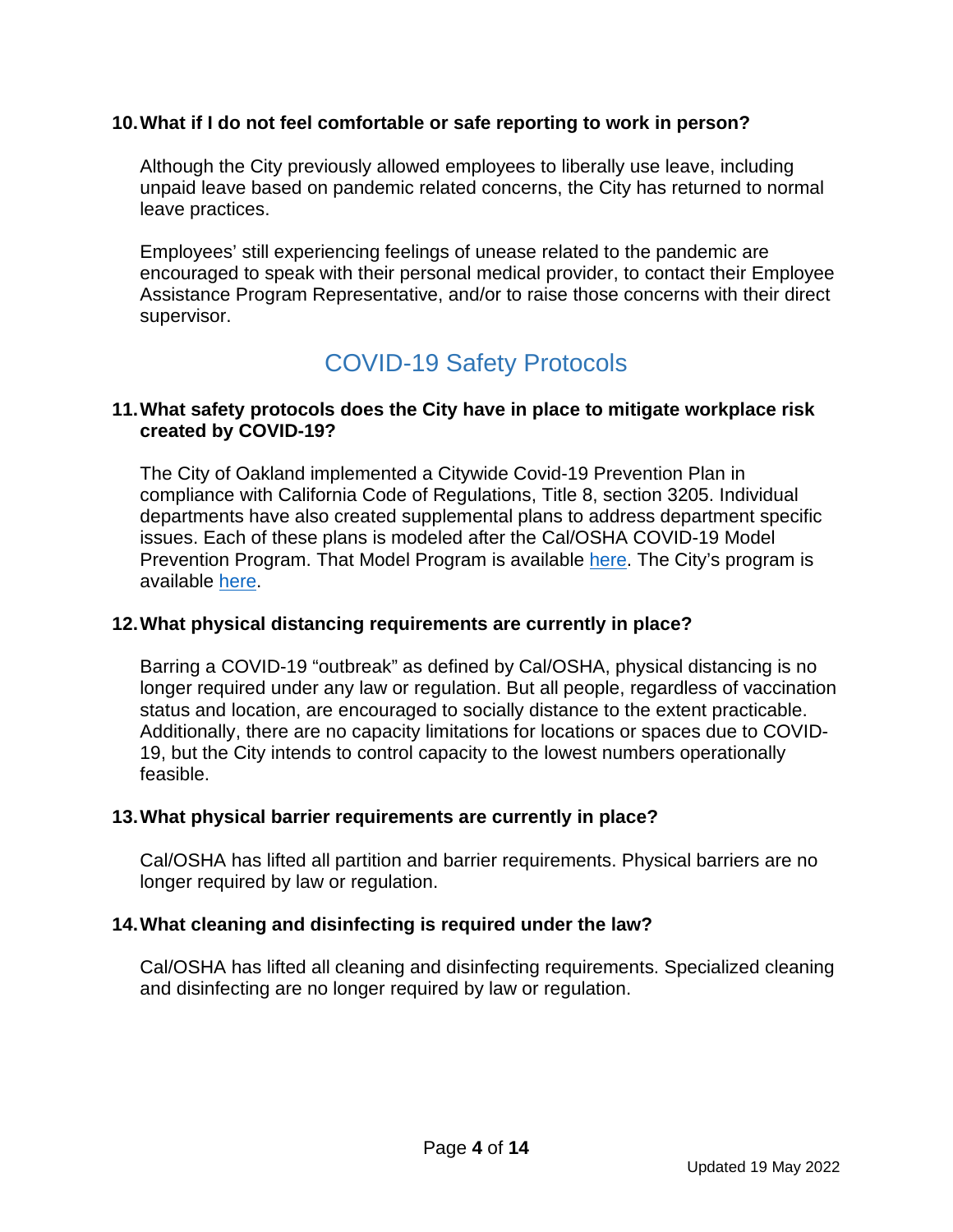#### **10.What if I do not feel comfortable or safe reporting to work in person?**

Although the City previously allowed employees to liberally use leave, including unpaid leave based on pandemic related concerns, the City has returned to normal leave practices.

Employees' still experiencing feelings of unease related to the pandemic are encouraged to speak with their personal medical provider, to contact their Employee Assistance Program Representative, and/or to raise those concerns with their direct supervisor.

## COVID-19 Safety Protocols

#### <span id="page-3-0"></span>**11.What safety protocols does the City have in place to mitigate workplace risk created by COVID-19?**

The City of Oakland implemented a Citywide Covid-19 Prevention Plan in compliance with California Code of Regulations, Title 8, section 3205. Individual departments have also created supplemental plans to address department specific issues. Each of these plans is modeled after the Cal/OSHA COVID-19 Model Prevention Program. That Model Program is available [here.](https://www.dir.ca.gov/dosh/coronavirus/ETS.html) The City's program is available [here.](https://www.oaklandca.gov/resources/city-of-oakland-covid-19-employee-resources)

#### **12.What physical distancing requirements are currently in place?**

Barring a COVID-19 "outbreak" as defined by Cal/OSHA, physical distancing is no longer required under any law or regulation. But all people, regardless of vaccination status and location, are encouraged to socially distance to the extent practicable. Additionally, there are no capacity limitations for locations or spaces due to COVID-19, but the City intends to control capacity to the lowest numbers operationally feasible.

#### **13.What physical barrier requirements are currently in place?**

Cal/OSHA has lifted all partition and barrier requirements. Physical barriers are no longer required by law or regulation.

#### **14.What cleaning and disinfecting is required under the law?**

Cal/OSHA has lifted all cleaning and disinfecting requirements. Specialized cleaning and disinfecting are no longer required by law or regulation.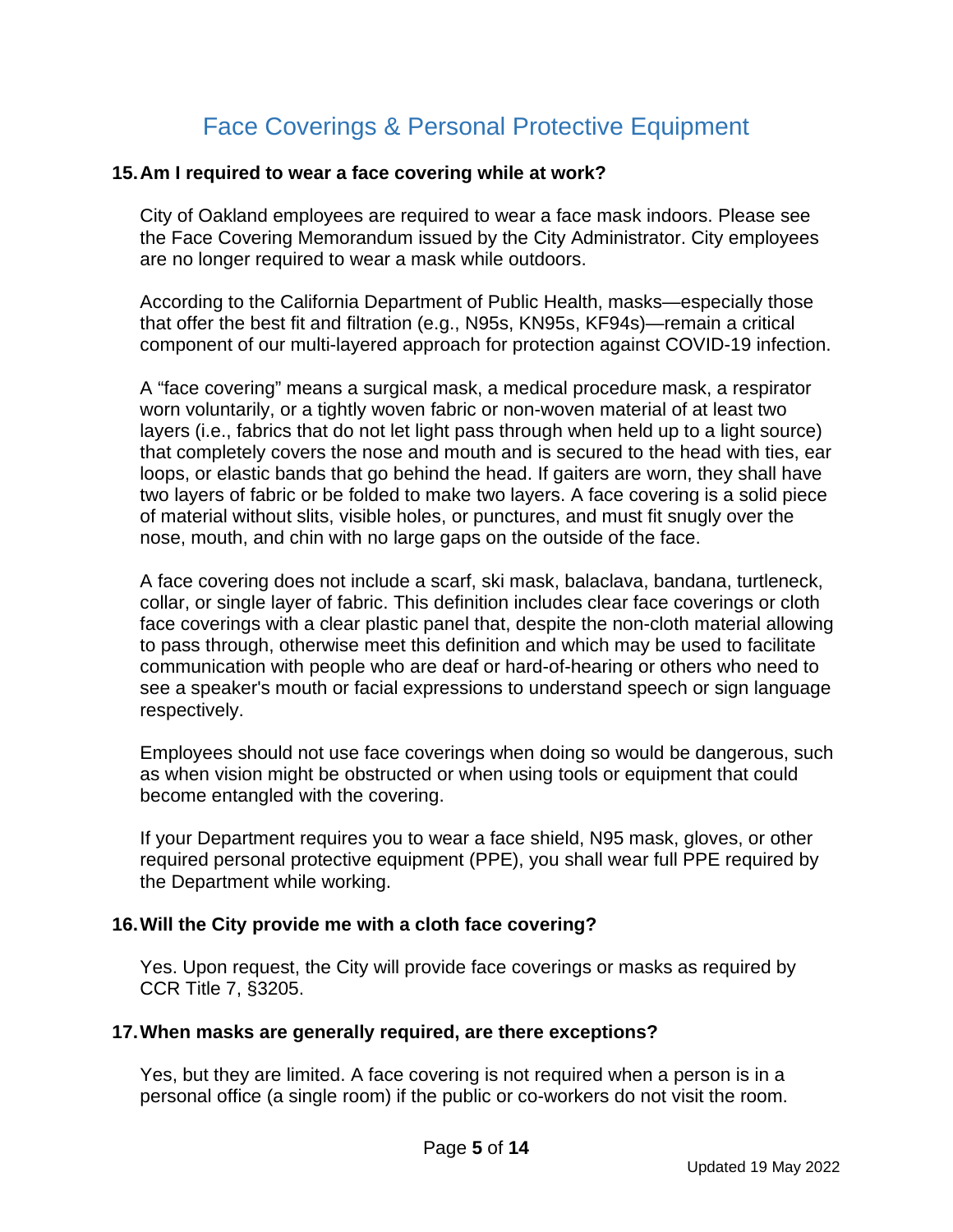# Face Coverings & Personal Protective Equipment

#### <span id="page-4-0"></span>**15.Am I required to wear a face covering while at work?**

City of Oakland employees are required to wear a face mask indoors. Please see the Face Covering Memorandum issued by the City Administrator. City employees are no longer required to wear a mask while outdoors.

According to the California Department of Public Health, masks—especially those that offer the best fit and filtration (e.g., N95s, KN95s, KF94s)—remain a critical component of our multi-layered approach for protection against COVID-19 infection.

A "face covering" means a surgical mask, a medical procedure mask, a respirator worn voluntarily, or a tightly woven fabric or non-woven material of at least two layers (i.e., fabrics that do not let light pass through when held up to a light source) that completely covers the nose and mouth and is secured to the head with ties, ear loops, or elastic bands that go behind the head. If gaiters are worn, they shall have two layers of fabric or be folded to make two layers. A face covering is a solid piece of material without slits, visible holes, or punctures, and must fit snugly over the nose, mouth, and chin with no large gaps on the outside of the face.

A face covering does not include a scarf, ski mask, balaclava, bandana, turtleneck, collar, or single layer of fabric. This definition includes clear face coverings or cloth face coverings with a clear plastic panel that, despite the non-cloth material allowing to pass through, otherwise meet this definition and which may be used to facilitate communication with people who are deaf or hard-of-hearing or others who need to see a speaker's mouth or facial expressions to understand speech or sign language respectively.

Employees should not use face coverings when doing so would be dangerous, such as when vision might be obstructed or when using tools or equipment that could become entangled with the covering.

If your Department requires you to wear a face shield, N95 mask, gloves, or other required personal protective equipment (PPE), you shall wear full PPE required by the Department while working.

#### **16.Will the City provide me with a cloth face covering?**

Yes. Upon request, the City will provide face coverings or masks as required by CCR Title 7, §3205.

#### **17.When masks are generally required, are there exceptions?**

Yes, but they are limited. A face covering is not required when a person is in a personal office (a single room) if the public or co-workers do not visit the room.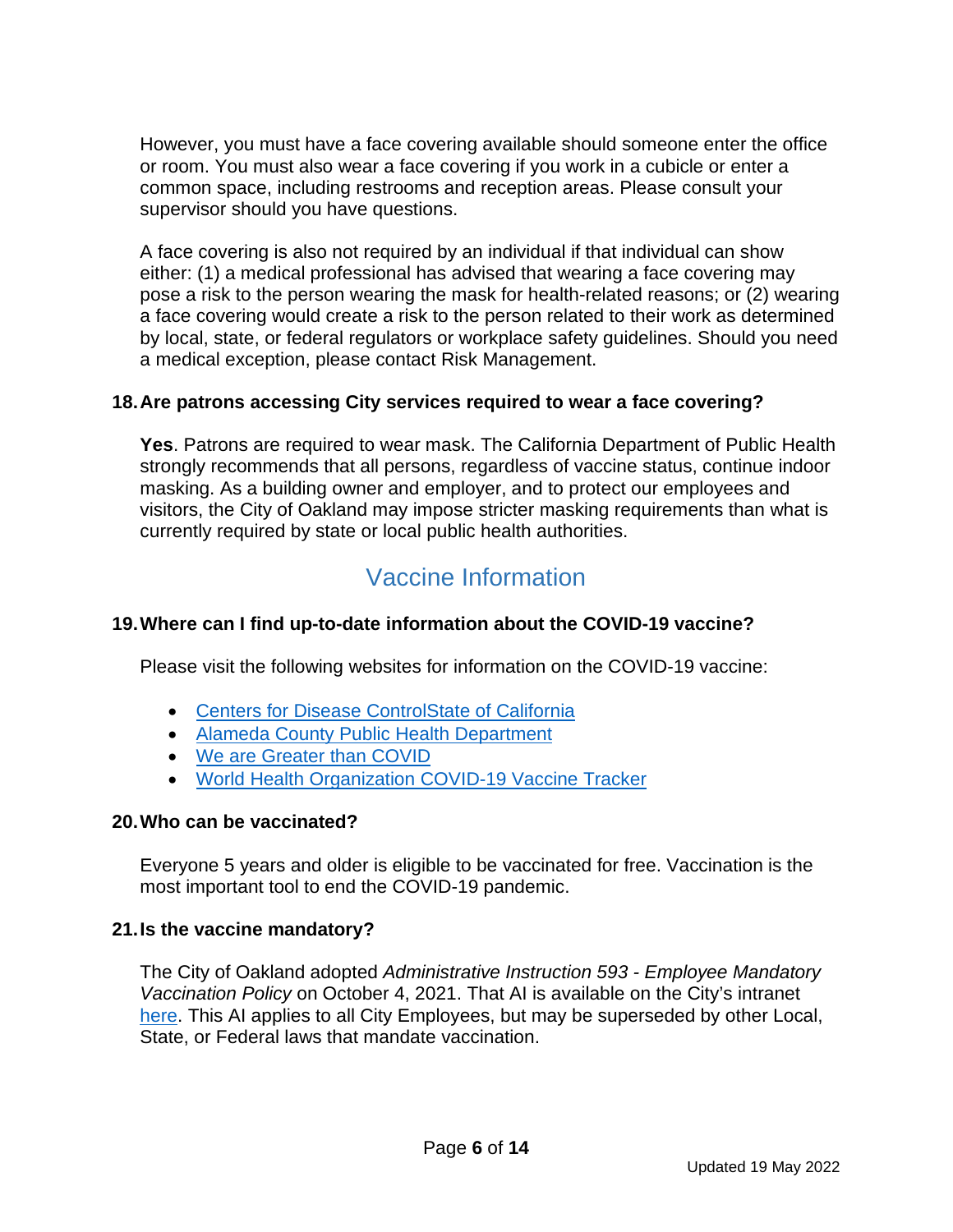However, you must have a face covering available should someone enter the office or room. You must also wear a face covering if you work in a cubicle or enter a common space, including restrooms and reception areas. Please consult your supervisor should you have questions.

A face covering is also not required by an individual if that individual can show either: (1) a medical professional has advised that wearing a face covering may pose a risk to the person wearing the mask for health-related reasons; or (2) wearing a face covering would create a risk to the person related to their work as determined by local, state, or federal regulators or workplace safety guidelines. Should you need a medical exception, please contact Risk Management.

## **18.Are patrons accessing City services required to wear a face covering?**

**Yes**. Patrons are required to wear mask. The California Department of Public Health strongly recommends that all persons, regardless of vaccine status, continue indoor masking. As a building owner and employer, and to protect our employees and visitors, the City of Oakland may impose stricter masking requirements than what is currently required by state or local public health authorities.

# Vaccine Information

## <span id="page-5-0"></span>**19.Where can I find up-to-date information about the COVID-19 vaccine?**

Please visit the following websites for information on the COVID-19 vaccine:

- [Centers for Disease Control](https://oaklandca-my.sharepoint.com/personal/kboyd_oaklandca_gov/Documents/Communications/COVID-19/Safe%20Re-opening%20planning/%E2%80%A2%09https:/www.cdc.gov/vaccines/covid-19/index.html)[State of California](https://covid19.ca.gov/vaccines/#When-can-I-get-vaccinated)
- [Alameda County Public Health Department](https://acphd.org/)
- [We are Greater than COVID](https://www.greaterthancovid.org/)
- World Health [Organization](https://covid19.trackvaccines.org/agency/who/) COVID-19 Vaccine Tracker

## **20.Who can be vaccinated?**

Everyone 5 years and older is eligible to be vaccinated for free. Vaccination is the most important tool to end the COVID-19 pandemic.

## **21.Is the vaccine mandatory?**

The City of Oakland adopted *Administrative Instruction 593 - Employee Mandatory Vaccination Policy* on October 4, 2021. That AI is available on the City's intranet [here.](http://oaknetnews/PoliciesandProcedures/index.htm) This AI applies to all City Employees, but may be superseded by other Local, State, or Federal laws that mandate vaccination.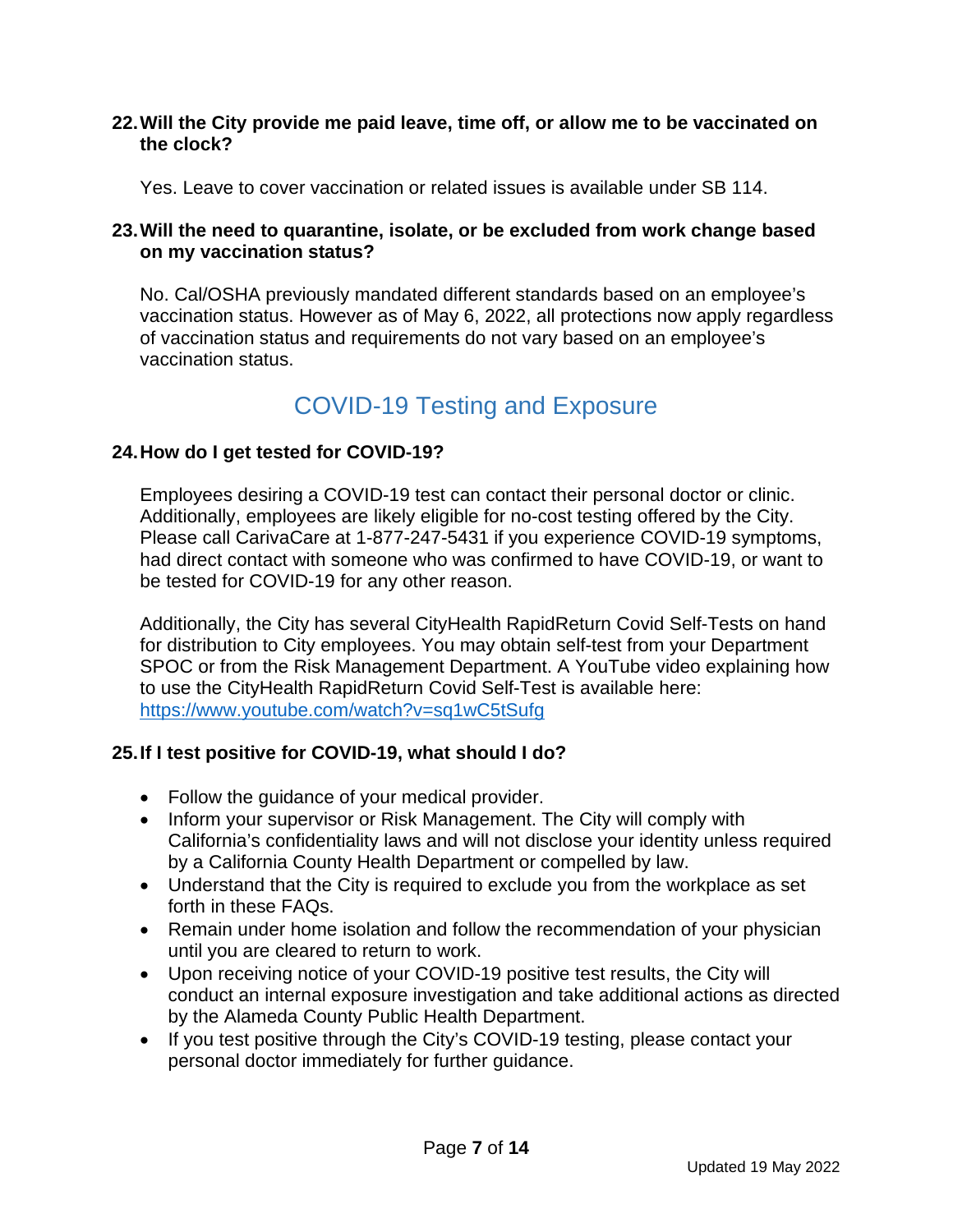#### **22.Will the City provide me paid leave, time off, or allow me to be vaccinated on the clock?**

Yes. Leave to cover vaccination or related issues is available under SB 114.

#### **23.Will the need to quarantine, isolate, or be excluded from work change based on my vaccination status?**

No. Cal/OSHA previously mandated different standards based on an employee's vaccination status. However as of May 6, 2022, all protections now apply regardless of vaccination status and requirements do not vary based on an employee's vaccination status.

## COVID-19 Testing and Exposure

## <span id="page-6-0"></span>**24.How do I get tested for COVID-19?**

Employees desiring a COVID-19 test can contact their personal doctor or clinic. Additionally, employees are likely eligible for no-cost testing offered by the City. Please call CarivaCare at 1-877-247-5431 if you experience COVID-19 symptoms, had direct contact with someone who was confirmed to have COVID-19, or want to be tested for COVID-19 for any other reason.

Additionally, the City has several CityHealth RapidReturn Covid Self-Tests on hand for distribution to City employees. You may obtain self-test from your Department SPOC or from the Risk Management Department. A YouTube video explaining how to use the CityHealth RapidReturn Covid Self-Test is available here: <https://www.youtube.com/watch?v=sq1wC5tSufg>

#### **25.If I test positive for COVID-19, what should I do?**

- Follow the guidance of your medical provider.
- Inform your supervisor or Risk Management. The City will comply with California's confidentiality laws and will not disclose your identity unless required by a California County Health Department or compelled by law.
- Understand that the City is required to exclude you from the workplace as set forth in these FAQs.
- Remain under home isolation and follow the recommendation of your physician until you are cleared to return to work.
- Upon receiving notice of your COVID-19 positive test results, the City will conduct an internal exposure investigation and take additional actions as directed by the Alameda County Public Health Department.
- If you test positive through the City's COVID-19 testing, please contact your personal doctor immediately for further guidance.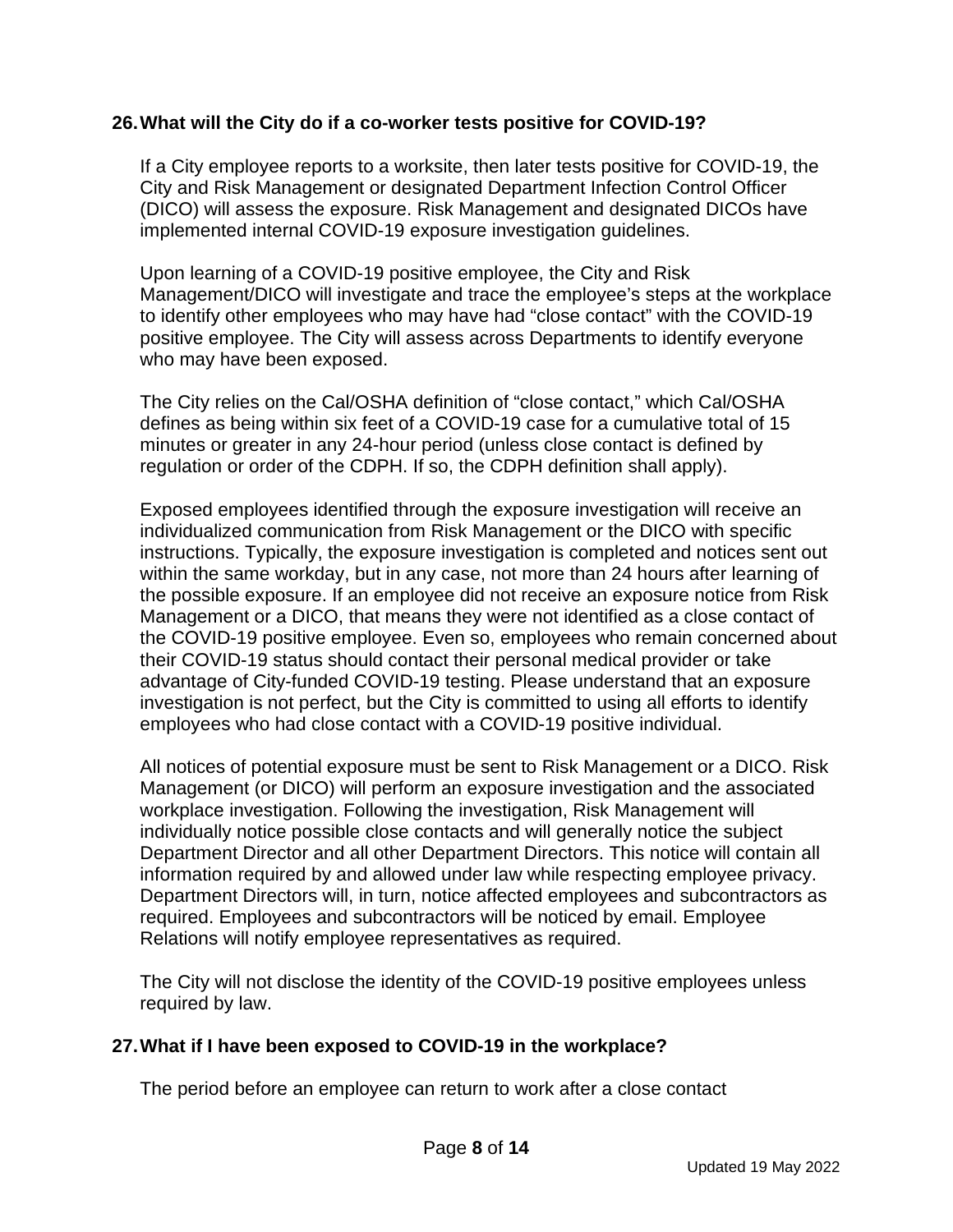### **26.What will the City do if a co-worker tests positive for COVID-19?**

If a City employee reports to a worksite, then later tests positive for COVID-19, the City and Risk Management or designated Department Infection Control Officer (DICO) will assess the exposure. Risk Management and designated DICOs have implemented internal COVID-19 exposure investigation guidelines.

Upon learning of a COVID-19 positive employee, the City and Risk Management/DICO will investigate and trace the employee's steps at the workplace to identify other employees who may have had "close contact" with the COVID-19 positive employee. The City will assess across Departments to identify everyone who may have been exposed.

The City relies on the Cal/OSHA definition of "close contact," which Cal/OSHA defines as being within six feet of a COVID-19 case for a cumulative total of 15 minutes or greater in any 24-hour period (unless close contact is defined by regulation or order of the CDPH. If so, the CDPH definition shall apply).

Exposed employees identified through the exposure investigation will receive an individualized communication from Risk Management or the DICO with specific instructions. Typically, the exposure investigation is completed and notices sent out within the same workday, but in any case, not more than 24 hours after learning of the possible exposure. If an employee did not receive an exposure notice from Risk Management or a DICO, that means they were not identified as a close contact of the COVID-19 positive employee. Even so, employees who remain concerned about their COVID-19 status should contact their personal medical provider or take advantage of City-funded COVID-19 testing. Please understand that an exposure investigation is not perfect, but the City is committed to using all efforts to identify employees who had close contact with a COVID-19 positive individual.

All notices of potential exposure must be sent to Risk Management or a DICO. Risk Management (or DICO) will perform an exposure investigation and the associated workplace investigation. Following the investigation, Risk Management will individually notice possible close contacts and will generally notice the subject Department Director and all other Department Directors. This notice will contain all information required by and allowed under law while respecting employee privacy. Department Directors will, in turn, notice affected employees and subcontractors as required. Employees and subcontractors will be noticed by email. Employee Relations will notify employee representatives as required.

The City will not disclose the identity of the COVID-19 positive employees unless required by law.

## **27.What if I have been exposed to COVID-19 in the workplace?**

The period before an employee can return to work after a close contact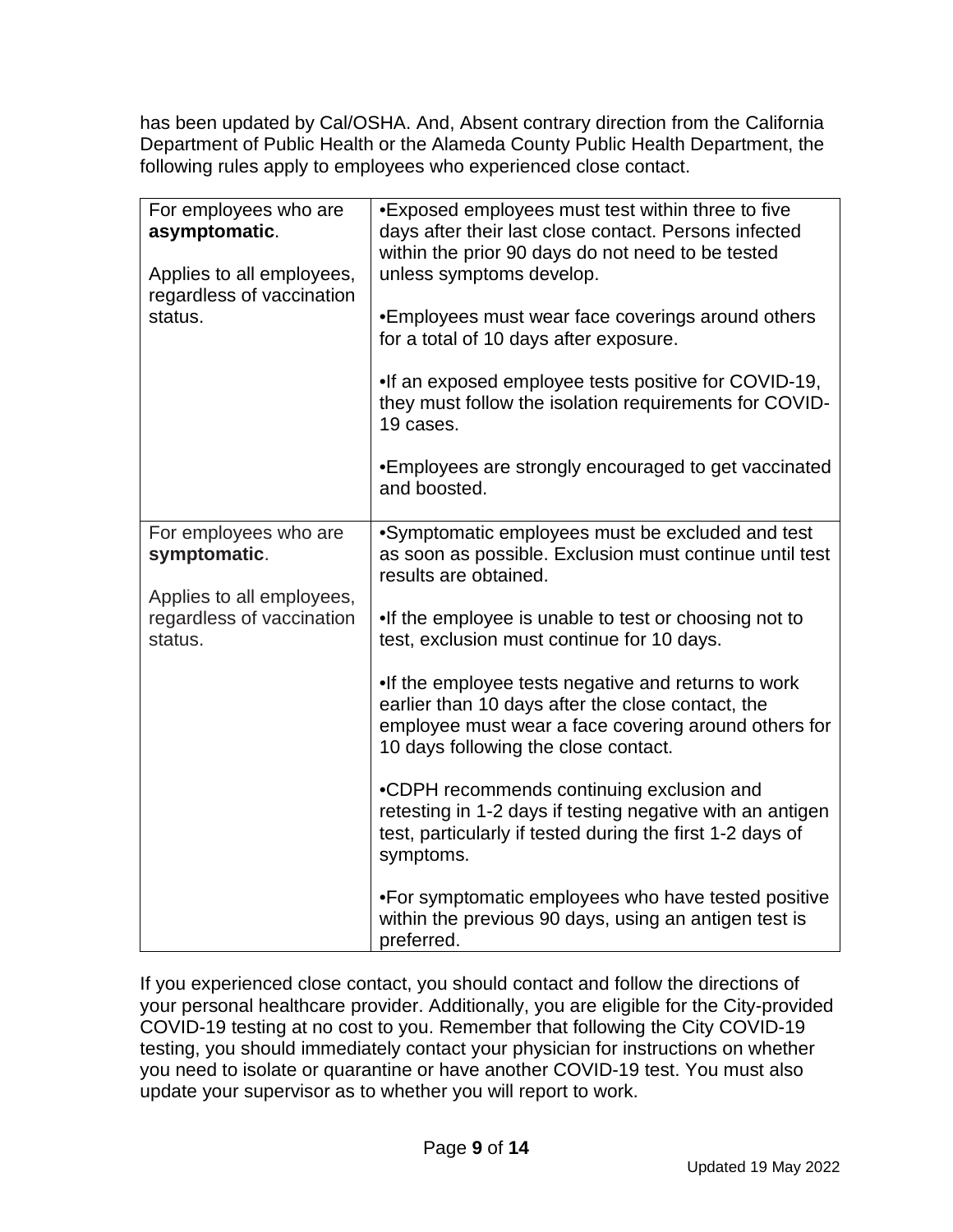has been updated by Cal/OSHA. And, Absent contrary direction from the California Department of Public Health or the Alameda County Public Health Department, the following rules apply to employees who experienced close contact.

| For employees who are<br>asymptomatic.<br>Applies to all employees,<br>regardless of vaccination<br>status. | •Exposed employees must test within three to five<br>days after their last close contact. Persons infected<br>within the prior 90 days do not need to be tested<br>unless symptoms develop.<br>•Employees must wear face coverings around others<br>for a total of 10 days after exposure.<br>. If an exposed employee tests positive for COVID-19,<br>they must follow the isolation requirements for COVID-<br>19 cases.<br>•Employees are strongly encouraged to get vaccinated<br>and boosted.                                                                                                                                                                                                                                                                           |
|-------------------------------------------------------------------------------------------------------------|------------------------------------------------------------------------------------------------------------------------------------------------------------------------------------------------------------------------------------------------------------------------------------------------------------------------------------------------------------------------------------------------------------------------------------------------------------------------------------------------------------------------------------------------------------------------------------------------------------------------------------------------------------------------------------------------------------------------------------------------------------------------------|
| For employees who are<br>symptomatic.<br>Applies to all employees,<br>regardless of vaccination<br>status.  | •Symptomatic employees must be excluded and test<br>as soon as possible. Exclusion must continue until test<br>results are obtained.<br>. If the employee is unable to test or choosing not to<br>test, exclusion must continue for 10 days.<br>. If the employee tests negative and returns to work<br>earlier than 10 days after the close contact, the<br>employee must wear a face covering around others for<br>10 days following the close contact.<br>.CDPH recommends continuing exclusion and<br>retesting in 1-2 days if testing negative with an antigen<br>test, particularly if tested during the first 1-2 days of<br>symptoms.<br>. For symptomatic employees who have tested positive<br>within the previous 90 days, using an antigen test is<br>preferred. |

If you experienced close contact, you should contact and follow the directions of your personal healthcare provider. Additionally, you are eligible for the City-provided COVID-19 testing at no cost to you. Remember that following the City COVID-19 testing, you should immediately contact your physician for instructions on whether you need to isolate or quarantine or have another COVID-19 test. You must also update your supervisor as to whether you will report to work.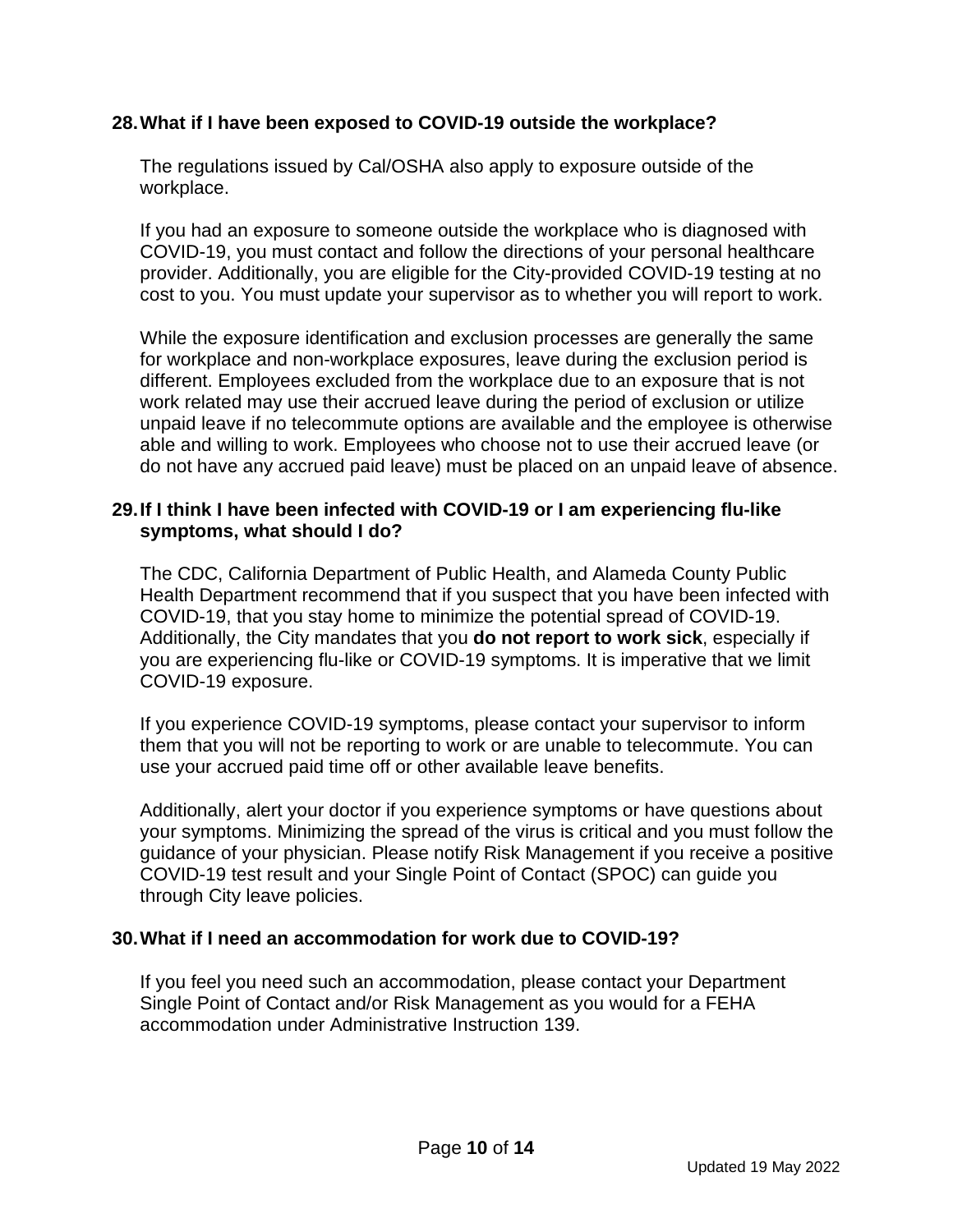### **28.What if I have been exposed to COVID-19 outside the workplace?**

The regulations issued by Cal/OSHA also apply to exposure outside of the workplace.

If you had an exposure to someone outside the workplace who is diagnosed with COVID-19, you must contact and follow the directions of your personal healthcare provider. Additionally, you are eligible for the City-provided COVID-19 testing at no cost to you. You must update your supervisor as to whether you will report to work.

While the exposure identification and exclusion processes are generally the same for workplace and non-workplace exposures, leave during the exclusion period is different. Employees excluded from the workplace due to an exposure that is not work related may use their accrued leave during the period of exclusion or utilize unpaid leave if no telecommute options are available and the employee is otherwise able and willing to work. Employees who choose not to use their accrued leave (or do not have any accrued paid leave) must be placed on an unpaid leave of absence.

#### **29.If I think I have been infected with COVID-19 or I am experiencing flu-like symptoms, what should I do?**

The CDC, California Department of Public Health, and Alameda County Public Health Department recommend that if you suspect that you have been infected with COVID-19, that you stay home to minimize the potential spread of COVID-19. Additionally, the City mandates that you **do not report to work sick**, especially if you are experiencing flu-like or COVID-19 symptoms. It is imperative that we limit COVID-19 exposure.

If you experience COVID-19 symptoms, please contact your supervisor to inform them that you will not be reporting to work or are unable to telecommute. You can use your accrued paid time off or other available leave benefits.

Additionally, alert your doctor if you experience symptoms or have questions about your symptoms. Minimizing the spread of the virus is critical and you must follow the guidance of your physician. Please notify Risk Management if you receive a positive COVID-19 test result and your Single Point of Contact (SPOC) can guide you through City leave policies.

#### **30.What if I need an accommodation for work due to COVID-19?**

If you feel you need such an accommodation, please contact your Department Single Point of Contact and/or Risk Management as you would for a FEHA accommodation under Administrative Instruction 139.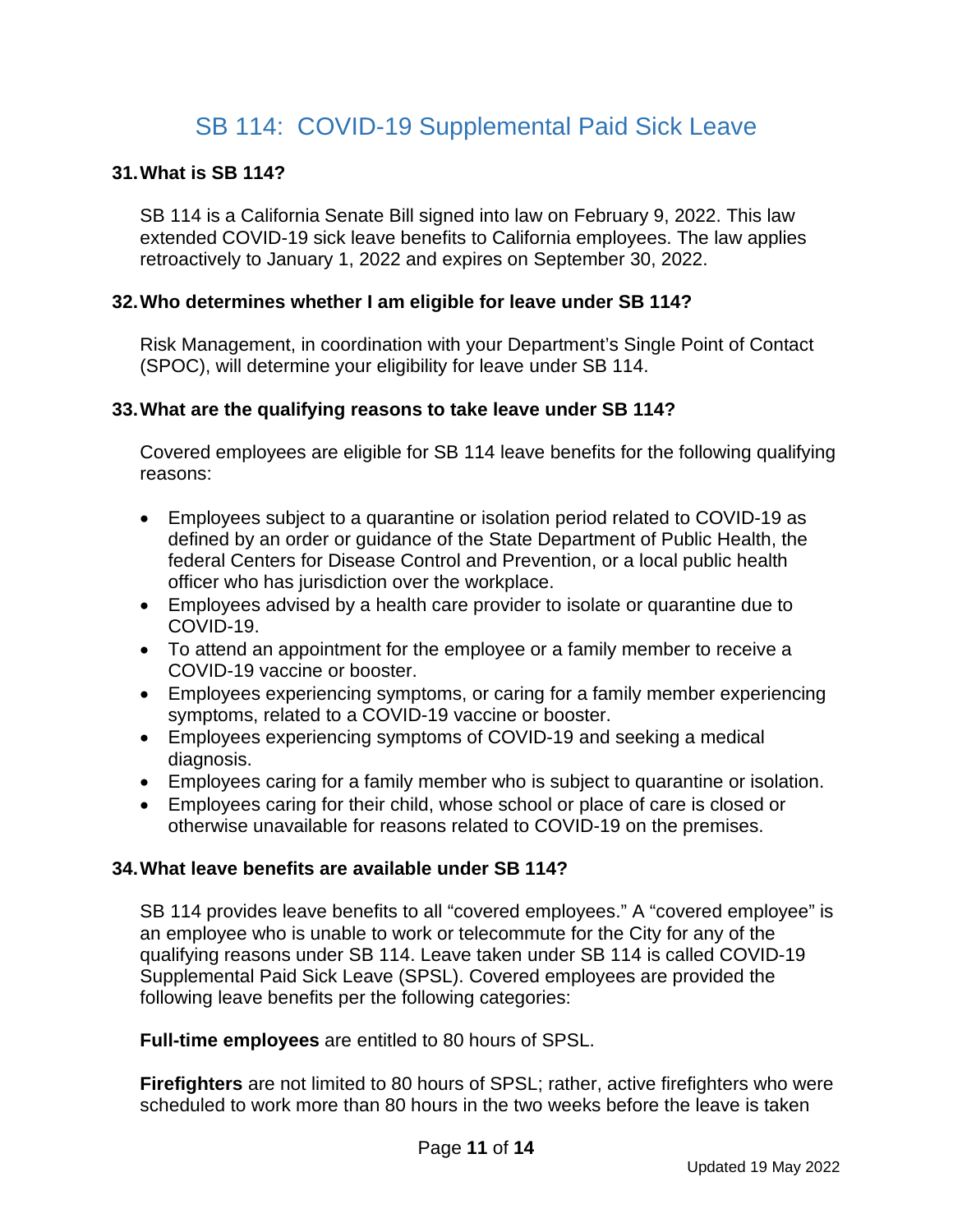## SB 114: COVID-19 Supplemental Paid Sick Leave

### <span id="page-10-0"></span>**31.What is SB 114?**

SB 114 is a California Senate Bill signed into law on February 9, 2022. This law extended COVID-19 sick leave benefits to California employees. The law applies retroactively to January 1, 2022 and expires on September 30, 2022.

#### **32.Who determines whether I am eligible for leave under SB 114?**

Risk Management, in coordination with your Department's Single Point of Contact (SPOC), will determine your eligibility for leave under SB 114.

#### **33.What are the qualifying reasons to take leave under SB 114?**

Covered employees are eligible for SB 114 leave benefits for the following qualifying reasons:

- Employees subject to a quarantine or isolation period related to COVID-19 as defined by an order or guidance of the State Department of Public Health, the federal Centers for Disease Control and Prevention, or a local public health officer who has jurisdiction over the workplace.
- Employees advised by a health care provider to isolate or quarantine due to COVID-19.
- To attend an appointment for the employee or a family member to receive a COVID-19 vaccine or booster.
- Employees experiencing symptoms, or caring for a family member experiencing symptoms, related to a COVID-19 vaccine or booster.
- Employees experiencing symptoms of COVID-19 and seeking a medical diagnosis.
- Employees caring for a family member who is subject to quarantine or isolation.
- Employees caring for their child, whose school or place of care is closed or otherwise unavailable for reasons related to COVID-19 on the premises.

#### **34.What leave benefits are available under SB 114?**

SB 114 provides leave benefits to all "covered employees." A "covered employee" is an employee who is unable to work or telecommute for the City for any of the qualifying reasons under SB 114. Leave taken under SB 114 is called COVID-19 Supplemental Paid Sick Leave (SPSL). Covered employees are provided the following leave benefits per the following categories:

**Full-time employees** are entitled to 80 hours of SPSL.

**Firefighters** are not limited to 80 hours of SPSL; rather, active firefighters who were scheduled to work more than 80 hours in the two weeks before the leave is taken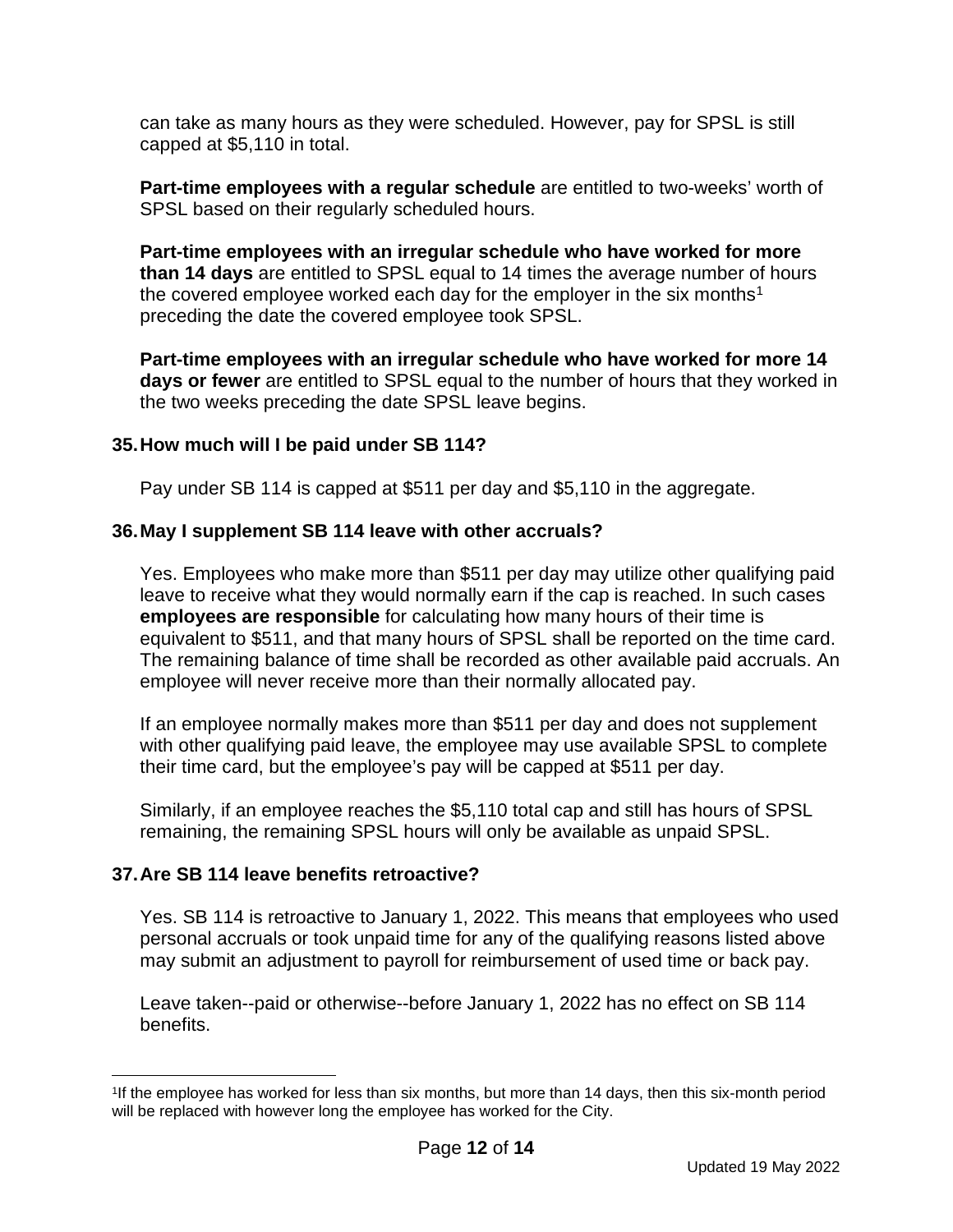can take as many hours as they were scheduled. However, pay for SPSL is still capped at \$5,110 in total.

**Part-time employees with a regular schedule** are entitled to two-weeks' worth of SPSL based on their regularly scheduled hours.

**Part-time employees with an irregular schedule who have worked for more than 14 days** are entitled to SPSL equal to 14 times the average number of hours the covered employee worked each day for the employer in the six months<sup>[1](#page-11-0)</sup> preceding the date the covered employee took SPSL.

**Part-time employees with an irregular schedule who have worked for more 14 days or fewer** are entitled to SPSL equal to the number of hours that they worked in the two weeks preceding the date SPSL leave begins.

### **35.How much will I be paid under SB 114?**

Pay under SB 114 is capped at \$511 per day and \$5,110 in the aggregate.

### **36.May I supplement SB 114 leave with other accruals?**

Yes. Employees who make more than \$511 per day may utilize other qualifying paid leave to receive what they would normally earn if the cap is reached. In such cases **employees are responsible** for calculating how many hours of their time is equivalent to \$511, and that many hours of SPSL shall be reported on the time card. The remaining balance of time shall be recorded as other available paid accruals. An employee will never receive more than their normally allocated pay.

If an employee normally makes more than \$511 per day and does not supplement with other qualifying paid leave, the employee may use available SPSL to complete their time card, but the employee's pay will be capped at \$511 per day.

Similarly, if an employee reaches the \$5,110 total cap and still has hours of SPSL remaining, the remaining SPSL hours will only be available as unpaid SPSL.

#### **37.Are SB 114 leave benefits retroactive?**

Yes. SB 114 is retroactive to January 1, 2022. This means that employees who used personal accruals or took unpaid time for any of the qualifying reasons listed above may submit an adjustment to payroll for reimbursement of used time or back pay.

Leave taken--paid or otherwise--before January 1, 2022 has no effect on SB 114 benefits.

<span id="page-11-0"></span><sup>1</sup>If the employee has worked for less than six months, but more than 14 days, then this six-month period will be replaced with however long the employee has worked for the City.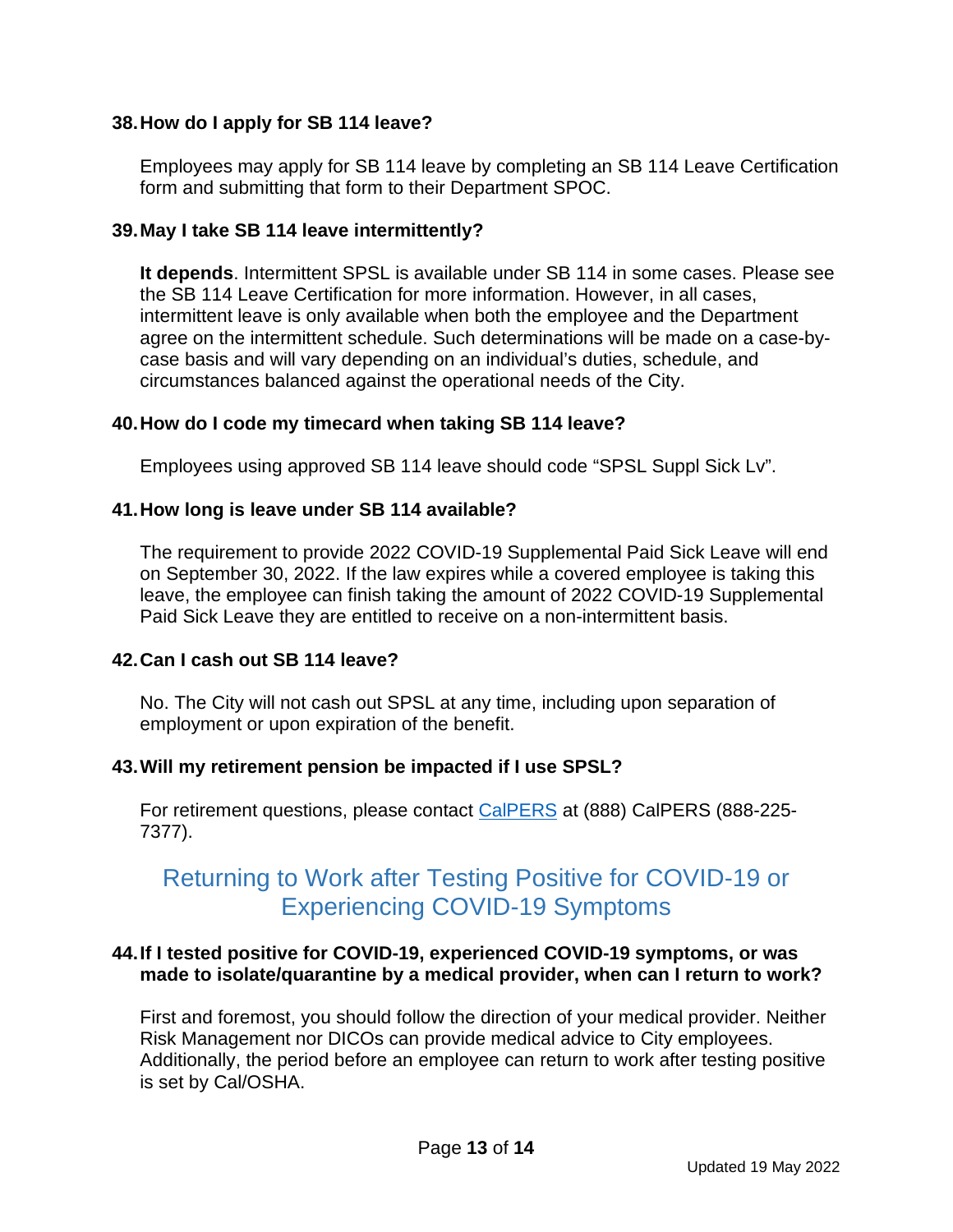### **38.How do I apply for SB 114 leave?**

Employees may apply for SB 114 leave by completing an SB 114 Leave Certification form and submitting that form to their Department SPOC.

### **39.May I take SB 114 leave intermittently?**

**It depends**. Intermittent SPSL is available under SB 114 in some cases. Please see the SB 114 Leave Certification for more information. However, in all cases, intermittent leave is only available when both the employee and the Department agree on the intermittent schedule. Such determinations will be made on a case-bycase basis and will vary depending on an individual's duties, schedule, and circumstances balanced against the operational needs of the City.

### **40.How do I code my timecard when taking SB 114 leave?**

Employees using approved SB 114 leave should code "SPSL Suppl Sick Lv".

### **41.How long is leave under SB 114 available?**

The requirement to provide 2022 COVID-19 Supplemental Paid Sick Leave will end on September 30, 2022. If the law expires while a covered employee is taking this leave, the employee can finish taking the amount of 2022 COVID-19 Supplemental Paid Sick Leave they are entitled to receive on a non-intermittent basis.

## **42.Can I cash out SB 114 leave?**

No. The City will not cash out SPSL at any time, including upon separation of employment or upon expiration of the benefit.

#### **43.Will my retirement pension be impacted if I use SPSL?**

For retirement questions, please contact [CalPERS](https://www.calpers.ca.gov/page/home) at (888) CalPERS (888-225-7377).

## <span id="page-12-0"></span>Returning to Work after Testing Positive for COVID-19 or Experiencing COVID-19 Symptoms

#### **44.If I tested positive for COVID-19, experienced COVID-19 symptoms, or was made to isolate/quarantine by a medical provider, when can I return to work?**

First and foremost, you should follow the direction of your medical provider. Neither Risk Management nor DICOs can provide medical advice to City employees. Additionally, the period before an employee can return to work after testing positive is set by Cal/OSHA.